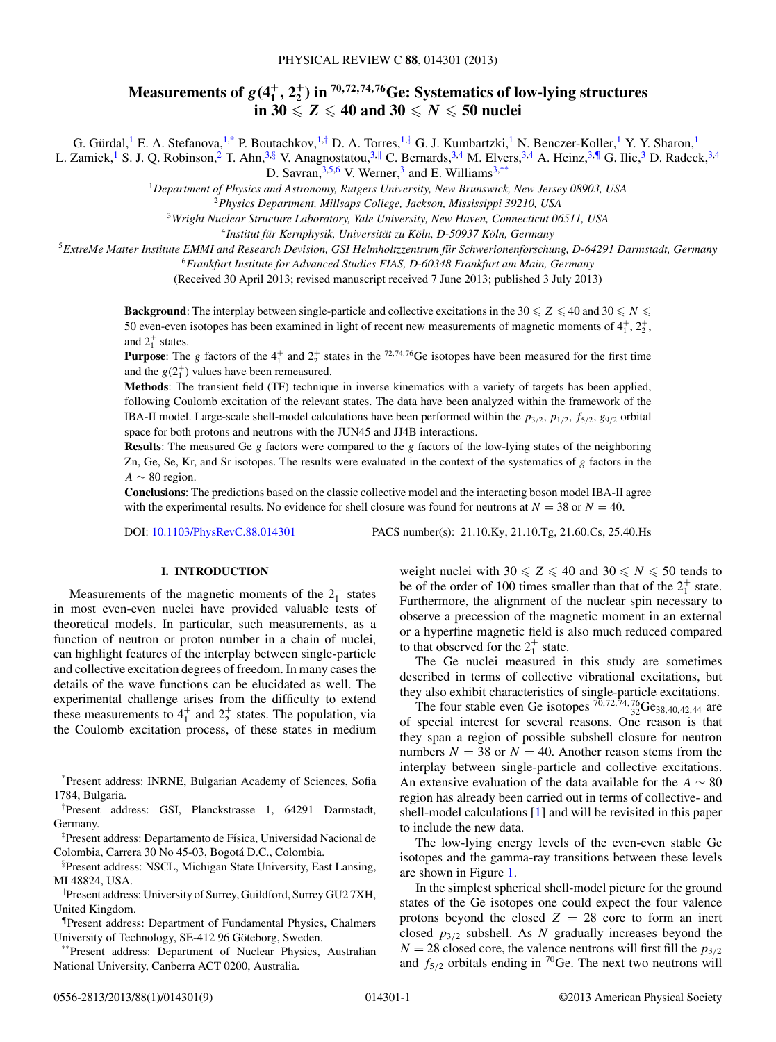# Measurements of  $g(4^+_1,2^+_2)$  in  $^{70,72,74,76}$ Ge: Systematics of low-lying structures  $\mathbf{i} \mathbf{n}$  30  $\leqslant$  Z  $\leqslant$  40 and 30  $\leqslant$   $N$   $\leqslant$  50 nuclei

G. Gürdal, <sup>1</sup> E. A. Stefanova, <sup>1,\*</sup> P. Boutachkov, <sup>1,†</sup> D. A. Torres, <sup>1,‡</sup> G. J. Kumbartzki, <sup>1</sup> N. Benczer-Koller, <sup>1</sup> Y. Y. Sharon, <sup>1</sup>

L. Zamick,<sup>1</sup> S. J. Q. Robinson,<sup>2</sup> T. Ahn,<sup>3,§</sup> V. Anagnostatou,<sup>3,||</sup> C. Bernards,<sup>3,4</sup> M. Elvers,<sup>3,4</sup> A. Heinz,<sup>3,¶</sup> G. Ilie,<sup>3</sup> D. Radeck,<sup>3,4</sup> D. Savran,  $3,5,6$  V. Werner, 3 and E. Williams<sup>3,\*\*</sup>

<sup>1</sup>*Department of Physics and Astronomy, Rutgers University, New Brunswick, New Jersey 08903, USA*

<sup>2</sup>*Physics Department, Millsaps College, Jackson, Mississippi 39210, USA*

<sup>3</sup>*Wright Nuclear Structure Laboratory, Yale University, New Haven, Connecticut 06511, USA*

<sup>4</sup>Institut für Kernphysik, Universität zu Köln, D-50937 Köln, Germany

<sup>5</sup>*ExtreMe Matter Institute EMMI and Research Devision, GSI Helmholtzzentrum fur Schwerionenforschung, D-64291 Darmstadt, Germany ¨*

<sup>6</sup>*Frankfurt Institute for Advanced Studies FIAS, D-60348 Frankfurt am Main, Germany*

(Received 30 April 2013; revised manuscript received 7 June 2013; published 3 July 2013)

**Background**: The interplay between single-particle and collective excitations in the 30  $\leq Z \leq 40$  and 30  $\leq N \leq$ 50 even-even isotopes has been examined in light of recent new measurements of magnetic moments of  $4^+_1, 2^+_2,$ and  $2^+_1$  states.

**Purpose**: The g factors of the  $4^+_1$  and  $2^+_2$  states in the  $72,74,76$  Ge isotopes have been measured for the first time and the  $g(2_1^+)$  values have been remeasured.

**Methods**: The transient field (TF) technique in inverse kinematics with a variety of targets has been applied, following Coulomb excitation of the relevant states. The data have been analyzed within the framework of the IBA-II model. Large-scale shell-model calculations have been performed within the  $p_{3/2}$ ,  $p_{1/2}$ ,  $f_{5/2}$ ,  $g_{9/2}$  orbital space for both protons and neutrons with the JUN45 and JJ4B interactions.

**Results**: The measured Ge g factors were compared to the g factors of the low-lying states of the neighboring Zn, Ge, Se, Kr, and Sr isotopes. The results were evaluated in the context of the systematics of g factors in the  $A \sim 80$  region.

**Conclusions**: The predictions based on the classic collective model and the interacting boson model IBA-II agree with the experimental results. No evidence for shell closure was found for neutrons at  $N = 38$  or  $N = 40$ .

DOI: [10.1103/PhysRevC.88.014301](http://dx.doi.org/10.1103/PhysRevC.88.014301) PACS number(s): 21.10.Ky, 21.10.Tg, 21.60.Cs, 25.40.Hs

## **I. INTRODUCTION**

Measurements of the magnetic moments of the  $2^+_1$  states in most even-even nuclei have provided valuable tests of theoretical models. In particular, such measurements, as a function of neutron or proton number in a chain of nuclei, can highlight features of the interplay between single-particle and collective excitation degrees of freedom. In many cases the details of the wave functions can be elucidated as well. The experimental challenge arises from the difficulty to extend these measurements to  $4^{\dagger}$  and  $2^{\dagger}$  states. The population, via the Coulomb excitation process, of these states in medium

weight nuclei with  $30 \le Z \le 40$  and  $30 \le N \le 50$  tends to be of the order of 100 times smaller than that of the  $2<sub>1</sub><sup>+</sup>$  state. Furthermore, the alignment of the nuclear spin necessary to observe a precession of the magnetic moment in an external or a hyperfine magnetic field is also much reduced compared to that observed for the  $2^+_1$  state.

The Ge nuclei measured in this study are sometimes described in terms of collective vibrational excitations, but they also exhibit characteristics of single-particle excitations.

The four stable even Ge isotopes  $^{70,72,74,76}_{32}$ Ge<sub>38,40,42,44</sub> are of special interest for several reasons. One reason is that they span a region of possible subshell closure for neutron numbers  $N = 38$  or  $N = 40$ . Another reason stems from the interplay between single-particle and collective excitations. An extensive evaluation of the data available for the  $A \sim 80$ region has already been carried out in terms of collective- and shell-model calculations [\[1\]](#page-8-0) and will be revisited in this paper to include the new data.

The low-lying energy levels of the even-even stable Ge isotopes and the gamma-ray transitions between these levels are shown in Figure [1.](#page-1-0)

In the simplest spherical shell-model picture for the ground states of the Ge isotopes one could expect the four valence protons beyond the closed  $Z = 28$  core to form an inert closed  $p_{3/2}$  subshell. As N gradually increases beyond the  $N = 28$  closed core, the valence neutrons will first fill the  $p_{3/2}$ and  $f_{5/2}$  orbitals ending in <sup>70</sup>Ge. The next two neutrons will

<sup>\*</sup>Present address: INRNE, Bulgarian Academy of Sciences, Sofia 1784, Bulgaria.

<sup>†</sup> Present address: GSI, Planckstrasse 1, 64291 Darmstadt, Germany.

<sup>‡</sup>Present address: Departamento de Física, Universidad Nacional de Colombia, Carrera 30 No 45-03, Bogota D.C., Colombia. ´

<sup>§</sup> Present address: NSCL, Michigan State University, East Lansing, MI 48824, USA.

<sup>-</sup>Present address: University of Surrey, Guildford, Surrey GU2 7XH, United Kingdom.

<sup>¶</sup>Present address: Department of Fundamental Physics, Chalmers University of Technology, SE-412 96 Göteborg, Sweden.

<sup>\*\*</sup>Present address: Department of Nuclear Physics, Australian National University, Canberra ACT 0200, Australia.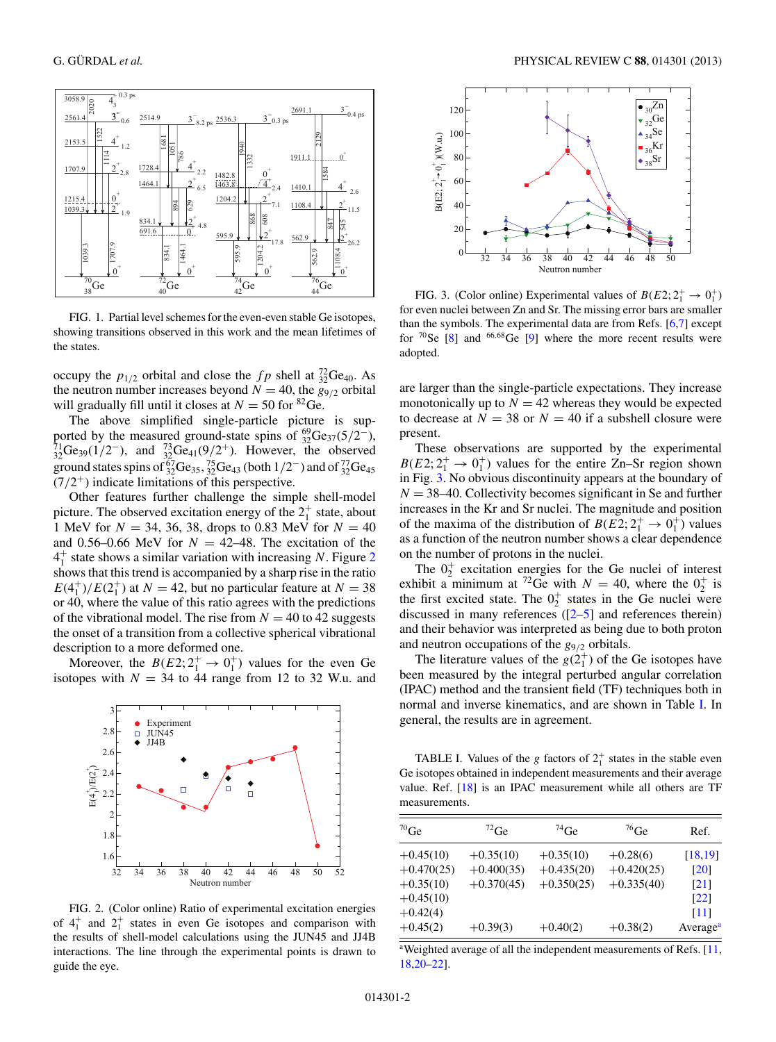<span id="page-1-0"></span>

FIG. 1. Partial level schemes for the even-even stable Ge isotopes, showing transitions observed in this work and the mean lifetimes of the states.

occupy the  $p_{1/2}$  orbital and close the  $fp$  shell at  ${}^{72}_{32}$ Ge<sub>40</sub>. As the neutron number increases beyond  $N = 40$ , the  $g_{9/2}$  orbital will gradually fill until it closes at  $N = 50$  for <sup>82</sup>Ge.

The above simplified single-particle picture is supported by the measured ground-state spins of  $^{69}_{32}$ Ge<sub>37</sub>(5/2<sup>-</sup>),  $^{71}_{32}$ Ge<sub>39</sub>(1/2<sup>-</sup>), and  $^{73}_{32}$ Ge<sub>41</sub>(9/2<sup>+</sup>). However, the observed ground states spins of  ${}^{67}_{32}Ge_{35}$ ,  ${}^{75}_{32}Ge_{43}$  (both  $1/2^-$ ) and of  ${}^{77}_{32}Ge_{45}$  $(7/2^+)$  indicate limitations of this perspective.

Other features further challenge the simple shell-model picture. The observed excitation energy of the  $2^+_1$  state, about 1 MeV for  $N = 34, 36, 38,$  drops to 0.83 MeV for  $N = 40$ and 0.56–0.66 MeV for  $N = 42$ –48. The excitation of the  $4<sub>1</sub><sup>+</sup>$  state shows a similar variation with increasing N. Figure 2 shows that this trend is accompanied by a sharp rise in the ratio  $E(4_1^+)/E(2_1^+)$  at  $N = 42$ , but no particular feature at  $N = 38$ or 40, where the value of this ratio agrees with the predictions of the vibrational model. The rise from  $N = 40$  to 42 suggests the onset of a transition from a collective spherical vibrational description to a more deformed one.

Moreover, the  $B(E2; 2^+_1 \rightarrow 0^+_1)$  values for the even Ge isotopes with  $N = 34$  to 44 range from 12 to 32 W.u. and



FIG. 2. (Color online) Ratio of experimental excitation energies of  $4^{\dagger}_{1}$  and  $2^{\dagger}_{1}$  states in even Ge isotopes and comparison with the results of shell-model calculations using the JUN45 and JJ4B interactions. The line through the experimental points is drawn to guide the eye.



FIG. 3. (Color online) Experimental values of  $B(E2; 2^+_1 \rightarrow 0^+_1)$ for even nuclei between Zn and Sr. The missing error bars are smaller than the symbols. The experimental data are from Refs. [\[6,7\]](#page-8-0) except for  ${}^{70}$ Se [\[8\]](#page-8-0) and  ${}^{66,68}$ Ge [\[9\]](#page-8-0) where the more recent results were adopted.

are larger than the single-particle expectations. They increase monotonically up to  $N = 42$  whereas they would be expected to decrease at  $N = 38$  or  $N = 40$  if a subshell closure were present.

These observations are supported by the experimental  $B(E2; 2^+_1 \rightarrow 0^+_1)$  values for the entire Zn–Sr region shown in Fig. 3. No obvious discontinuity appears at the boundary of  $N = 38-40$ . Collectivity becomes significant in Se and further increases in the Kr and Sr nuclei. The magnitude and position of the maxima of the distribution of  $B(E2; 2^+_1 \rightarrow 0^+_1)$  values as a function of the neutron number shows a clear dependence on the number of protons in the nuclei.

The  $0^+_2$  excitation energies for the Ge nuclei of interest exhibit a minimum at <sup>72</sup>Ge with  $N = 40$ , where the  $0^{+}_{2}$  is the first excited state. The  $0^+_2$  states in the Ge nuclei were discussed in many references ([\[2–5\]](#page-8-0) and references therein) and their behavior was interpreted as being due to both proton and neutron occupations of the  $g_{9/2}$  orbitals.

The literature values of the  $g(2_1^+)$  of the Ge isotopes have been measured by the integral perturbed angular correlation (IPAC) method and the transient field (TF) techniques both in normal and inverse kinematics, and are shown in Table I. In general, the results are in agreement.

TABLE I. Values of the g factors of  $2<sub>1</sub><sup>+</sup>$  states in the stable even Ge isotopes obtained in independent measurements and their average value. Ref. [\[18\]](#page-8-0) is an IPAC measurement while all others are TF measurements.

| $70$ Ge      | $72$ Ge      | $^{74}$ Ge   | $^{76}$ Ge   | Ref.                 |
|--------------|--------------|--------------|--------------|----------------------|
| $+0.45(10)$  | $+0.35(10)$  | $+0.35(10)$  | $+0.28(6)$   | [18, 19]             |
| $+0.470(25)$ | $+0.400(35)$ | $+0.435(20)$ | $+0.420(25)$ | $\lceil 20 \rceil$   |
| $+0.35(10)$  | $+0.370(45)$ | $+0.350(25)$ | $+0.335(40)$ | $\lceil 21 \rceil$   |
| $+0.45(10)$  |              |              |              | $\lceil 22 \rceil$   |
| $+0.42(4)$   |              |              |              | [11]                 |
| $+0.45(2)$   | $+0.39(3)$   | $+0.40(2)$   | $+0.38(2)$   | Average <sup>a</sup> |

<sup>a</sup>Weighted average of all the independent measurements of Refs. [\[11,](#page-8-0) [18,20–22\]](#page-8-0).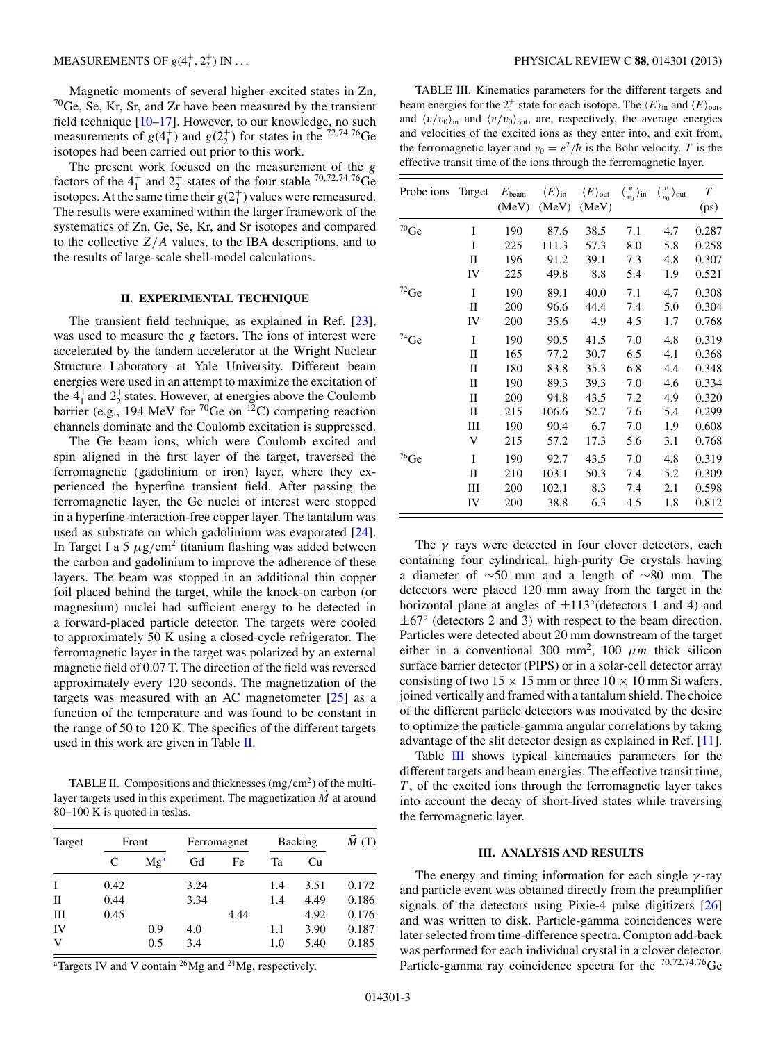Magnetic moments of several higher excited states in Zn,  $70$ Ge, Se, Kr, Sr, and Zr have been measured by the transient field technique [\[10–17\]](#page-8-0). However, to our knowledge, no such measurements of  $g(4_1^+)$  and  $g(2_2^+)$  for states in the <sup>72,74,76</sup>Ge isotopes had been carried out prior to this work.

The present work focused on the measurement of the g factors of the  $4^+_1$  and  $2^+_2$  states of the four stable <sup>70,72,74,76</sup>Ge isotopes. At the same time their  $g(2<sub>1</sub><sup>+</sup>)$  values were remeasured. The results were examined within the larger framework of the systematics of Zn, Ge, Se, Kr, and Sr isotopes and compared to the collective  $Z/A$  values, to the IBA descriptions, and to the results of large-scale shell-model calculations.

#### **II. EXPERIMENTAL TECHNIQUE**

The transient field technique, as explained in Ref. [\[23\]](#page-8-0), was used to measure the g factors. The ions of interest were accelerated by the tandem accelerator at the Wright Nuclear Structure Laboratory at Yale University. Different beam energies were used in an attempt to maximize the excitation of the  $4^{+}_{1}$  and  $2^{+}_{2}$  states. However, at energies above the Coulomb barrier (e.g., 194 MeV for  $^{70}$ Ge on  $^{12}$ C) competing reaction channels dominate and the Coulomb excitation is suppressed.

The Ge beam ions, which were Coulomb excited and spin aligned in the first layer of the target, traversed the ferromagnetic (gadolinium or iron) layer, where they experienced the hyperfine transient field. After passing the ferromagnetic layer, the Ge nuclei of interest were stopped in a hyperfine-interaction-free copper layer. The tantalum was used as substrate on which gadolinium was evaporated [\[24\]](#page-8-0). In Target I a 5  $\mu$ g/cm<sup>2</sup> titanium flashing was added between the carbon and gadolinium to improve the adherence of these layers. The beam was stopped in an additional thin copper foil placed behind the target, while the knock-on carbon (or magnesium) nuclei had sufficient energy to be detected in a forward-placed particle detector. The targets were cooled to approximately 50 K using a closed-cycle refrigerator. The ferromagnetic layer in the target was polarized by an external magnetic field of 0.07 T. The direction of the field was reversed approximately every 120 seconds. The magnetization of the targets was measured with an AC magnetometer  $[25]$  as a function of the temperature and was found to be constant in the range of 50 to 120 K. The specifics of the different targets used in this work are given in Table II.

TABLE II. Compositions and thicknesses  $\rm (mg/cm^2)$  of the multilayer targets used in this experiment. The magnetization  $\vec{M}$  at around 80–100 K is quoted in teslas.

| Target | Front |                 | Ferromagnet |      | Backing |      | M(T)  |
|--------|-------|-----------------|-------------|------|---------|------|-------|
|        | C     | Mg <sup>a</sup> | Gd          | Fe   | Ta      | Cu   |       |
| I      | 0.42  |                 | 3.24        |      | 1.4     | 3.51 | 0.172 |
| П      | 0.44  |                 | 3.34        |      | 1.4     | 4.49 | 0.186 |
| Ш      | 0.45  |                 |             | 4.44 |         | 4.92 | 0.176 |
| IV     |       | 0.9             | 4.0         |      | 1.1     | 3.90 | 0.187 |
| V      |       | 0.5             | 3.4         |      | 1.0     | 5.40 | 0.185 |

<sup>a</sup>Targets IV and V contain <sup>26</sup>Mg and <sup>24</sup>Mg, respectively.

TABLE III. Kinematics parameters for the different targets and beam energies for the  $2^+_1$  state for each isotope. The  $\langle E \rangle$ <sub>in</sub> and  $\langle E \rangle$ <sub>out</sub>, and  $\langle v/v_0 \rangle$ <sub>in</sub> and  $\langle v/v_0 \rangle$ <sub>out</sub>, are, respectively, the average energies and velocities of the excited ions as they enter into, and exit from, the ferromagnetic layer and  $v_0 = e^2/\hbar$  is the Bohr velocity. T is the effective transit time of the ions through the ferromagnetic layer.

| Probe ions         | Target      | $E_{\rm beam}$<br>(MeV) | $\langle E \rangle_{\rm in}$<br>(MeV) | $\langle E \rangle_{\rm out}$<br>(MeV) | $\langle \frac{v}{v_0} \rangle$ in | $\langle \frac{v}{v_0} \rangle$ out | $\overline{T}$<br>(ps) |
|--------------------|-------------|-------------------------|---------------------------------------|----------------------------------------|------------------------------------|-------------------------------------|------------------------|
| $^{70}\mathrm{Ge}$ | Ī           | 190                     | 87.6                                  | 38.5                                   | 7.1                                | 4.7                                 | 0.287                  |
|                    | I           | 225                     | 111.3                                 | 57.3                                   | 8.0                                | 5.8                                 | 0.258                  |
|                    | П           | 196                     | 91.2                                  | 39.1                                   | 7.3                                | 4.8                                 | 0.307                  |
|                    | IV          | 225                     | 49.8                                  | 8.8                                    | 5.4                                | 1.9                                 | 0.521                  |
| $^{72}\mathrm{Ge}$ | I           | 190                     | 89.1                                  | 40.0                                   | 7.1                                | 4.7                                 | 0.308                  |
|                    | $_{\rm II}$ | 200                     | 96.6                                  | 44.4                                   | 7.4                                | 5.0                                 | 0.304                  |
|                    | IV          | 200                     | 35.6                                  | 4.9                                    | 4.5                                | 1.7                                 | 0.768                  |
| $^{74}\mathrm{Ge}$ | I           | 190                     | 90.5                                  | 41.5                                   | 7.0                                | 4.8                                 | 0.319                  |
|                    | П           | 165                     | 77.2                                  | 30.7                                   | 6.5                                | 4.1                                 | 0.368                  |
|                    | П           | 180                     | 83.8                                  | 35.3                                   | 6.8                                | 4.4                                 | 0.348                  |
|                    | П           | 190                     | 89.3                                  | 39.3                                   | 7.0                                | 4.6                                 | 0.334                  |
|                    | $_{\rm II}$ | 200                     | 94.8                                  | 43.5                                   | 7.2                                | 4.9                                 | 0.320                  |
|                    | $_{\rm II}$ | 215                     | 106.6                                 | 52.7                                   | 7.6                                | 5.4                                 | 0.299                  |
|                    | Ш           | 190                     | 90.4                                  | 6.7                                    | 7.0                                | 1.9                                 | 0.608                  |
|                    | V           | 215                     | 57.2                                  | 17.3                                   | 5.6                                | 3.1                                 | 0.768                  |
| $^{76}$ Ge         | I           | 190                     | 92.7                                  | 43.5                                   | 7.0                                | 4.8                                 | 0.319                  |
|                    | П           | 210                     | 103.1                                 | 50.3                                   | 7.4                                | 5.2                                 | 0.309                  |
|                    | Ш           | 200                     | 102.1                                 | 8.3                                    | 7.4                                | 2.1                                 | 0.598                  |
|                    | IV          | 200                     | 38.8                                  | 6.3                                    | 4.5                                | 1.8                                 | 0.812                  |

The  $\gamma$  rays were detected in four clover detectors, each containing four cylindrical, high-purity Ge crystals having a diameter of ∼50 mm and a length of ∼80 mm. The detectors were placed 120 mm away from the target in the horizontal plane at angles of  $\pm 113^\circ$  (detectors 1 and 4) and  $\pm 67^\circ$  (detectors 2 and 3) with respect to the beam direction. Particles were detected about 20 mm downstream of the target either in a conventional 300 mm<sup>2</sup>, 100  $\mu$ m thick silicon surface barrier detector (PIPS) or in a solar-cell detector array consisting of two  $15 \times 15$  mm or three  $10 \times 10$  mm Si wafers, joined vertically and framed with a tantalum shield. The choice of the different particle detectors was motivated by the desire to optimize the particle-gamma angular correlations by taking advantage of the slit detector design as explained in Ref. [\[11\]](#page-8-0).

Table III shows typical kinematics parameters for the different targets and beam energies. The effective transit time,  $T$ , of the excited ions through the ferromagnetic layer takes into account the decay of short-lived states while traversing the ferromagnetic layer.

#### **III. ANALYSIS AND RESULTS**

The energy and timing information for each single  $\gamma$ -ray and particle event was obtained directly from the preamplifier signals of the detectors using Pixie-4 pulse digitizers [\[26\]](#page-8-0) and was written to disk. Particle-gamma coincidences were later selected from time-difference spectra. Compton add-back was performed for each individual crystal in a clover detector. Particle-gamma ray coincidence spectra for the  $^{70,72,74,76}$ Ge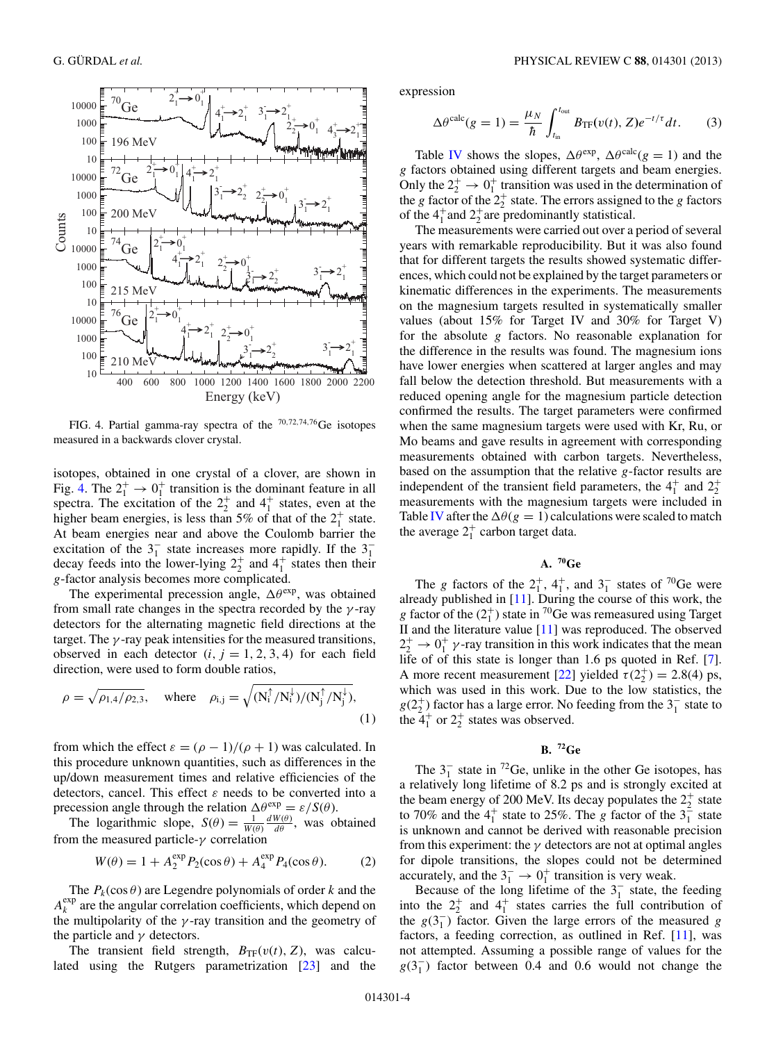

FIG. 4. Partial gamma-ray spectra of the <sup>70</sup>,72,74,76Ge isotopes measured in a backwards clover crystal.

isotopes, obtained in one crystal of a clover, are shown in Fig. 4. The  $2^+_1 \rightarrow 0^+_1$  transition is the dominant feature in all spectra. The excitation of the  $2^+_2$  and  $4^+_1$  states, even at the higher beam energies, is less than 5% of that of the  $2^+_1$  state. At beam energies near and above the Coulomb barrier the excitation of the  $3<sub>1</sub><sup>-</sup>$  state increases more rapidly. If the  $3<sub>1</sub>$ decay feeds into the lower-lying  $2^+_2$  and  $4^+_1$  states then their g-factor analysis becomes more complicated.

The experimental precession angle,  $\Delta\theta^{\text{exp}}$ , was obtained from small rate changes in the spectra recorded by the  $\gamma$ -ray detectors for the alternating magnetic field directions at the target. The  $\gamma$ -ray peak intensities for the measured transitions, observed in each detector  $(i, j = 1, 2, 3, 4)$  for each field direction, were used to form double ratios,

$$
\rho = \sqrt{\rho_{1,4}/\rho_{2,3}}, \quad \text{where} \quad \rho_{i,j} = \sqrt{(N_i^{\uparrow}/N_i^{\downarrow})/(N_j^{\uparrow}/N_j^{\downarrow})}, \tag{1}
$$

from which the effect  $\varepsilon = (\rho - 1)/(\rho + 1)$  was calculated. In this procedure unknown quantities, such as differences in the up/down measurement times and relative efficiencies of the detectors, cancel. This effect  $\varepsilon$  needs to be converted into a precession angle through the relation  $\Delta \theta_{\text{me}}^{\text{exp}} = \varepsilon / S(\theta)$ .

The logarithmic slope,  $S(\theta) = \frac{1}{W(\theta)} \frac{dW(\theta)}{d\theta}$ , was obtained from the measured particle- $\gamma$  correlation

$$
W(\theta) = 1 + A_2^{\exp} P_2(\cos \theta) + A_4^{\exp} P_4(\cos \theta). \tag{2}
$$

The  $P_k(\cos \theta)$  are Legendre polynomials of order k and the  $A_k^{\text{exp}}$  are the angular correlation coefficients, which depend on the multipolarity of the  $\gamma$ -ray transition and the geometry of the particle and  $\gamma$  detectors.

The transient field strength,  $B_{TF}(v(t), Z)$ , was calculated using the Rutgers parametrization [\[23\]](#page-8-0) and the expression

$$
\Delta \theta^{\text{calc}}(g=1) = \frac{\mu_N}{\hbar} \int_{t_{\text{in}}}^{t_{\text{out}}} B_{\text{TF}}(v(t), Z) e^{-t/\tau} dt. \tag{3}
$$

Table [IV](#page-4-0) shows the slopes,  $\Delta \theta^{\text{exp}}$ ,  $\Delta \theta^{\text{calc}}$ (g = 1) and the g factors obtained using different targets and beam energies. Only the  $2^+_2 \rightarrow 0^+_1$  transition was used in the determination of the g factor of the  $2^+_2$  state. The errors assigned to the g factors of the  $4_1^+$  and  $2_2^+$  are predominantly statistical.

The measurements were carried out over a period of several years with remarkable reproducibility. But it was also found that for different targets the results showed systematic differences, which could not be explained by the target parameters or kinematic differences in the experiments. The measurements on the magnesium targets resulted in systematically smaller values (about 15% for Target IV and 30% for Target V) for the absolute g factors. No reasonable explanation for the difference in the results was found. The magnesium ions have lower energies when scattered at larger angles and may fall below the detection threshold. But measurements with a reduced opening angle for the magnesium particle detection confirmed the results. The target parameters were confirmed when the same magnesium targets were used with Kr, Ru, or Mo beams and gave results in agreement with corresponding measurements obtained with carbon targets. Nevertheless, based on the assumption that the relative g-factor results are independent of the transient field parameters, the  $4^{\dagger}_{1}$  and  $2^{\dagger}_{2}$ measurements with the magnesium targets were included in Table [IV](#page-4-0) after the  $\Delta\theta(g = 1)$  calculations were scaled to match the average  $2^+_1$  carbon target data.

# **A. 70Ge**

The g factors of the  $2^+_1$ ,  $4^+_1$ , and  $3^-_1$  states of <sup>70</sup>Ge were already published in [\[11\]](#page-8-0). During the course of this work, the g factor of the  $(2<sub>1</sub><sup>+</sup>)$  state in <sup>70</sup>Ge was remeasured using Target II and the literature value [\[11\]](#page-8-0) was reproduced. The observed  $2^{+}_{2} \rightarrow 0^{+}_{1}$   $\gamma$ -ray transition in this work indicates that the mean life of of this state is longer than 1.6 ps quoted in Ref. [\[7\]](#page-8-0). A more recent measurement [\[22\]](#page-8-0) yielded  $\tau(2^+_2) = 2.8(4)$  ps, which was used in this work. Due to the low statistics, the  $g(2_2^+)$  factor has a large error. No feeding from the  $3_1^-$  state to the  $4_1^+$  or  $2_2^+$  states was observed.

# **B. 72Ge**

The  $3<sub>1</sub><sup>-</sup>$  state in <sup>72</sup>Ge, unlike in the other Ge isotopes, has a relatively long lifetime of 8.2 ps and is strongly excited at the beam energy of 200 MeV. Its decay populates the  $2^+_2$  state to 70% and the  $4^+_1$  state to 25%. The g factor of the  $3^-_1$  state is unknown and cannot be derived with reasonable precision from this experiment: the  $\gamma$  detectors are not at optimal angles for dipole transitions, the slopes could not be determined accurately, and the  $3^{-}_{1} \rightarrow 0^{+}_{1}$  transition is very weak.

Because of the long lifetime of the  $3<sub>1</sub><sup>-</sup>$  state, the feeding into the  $2^+_2$  and  $4^+_1$  states carries the full contribution of the  $g(3<sub>1</sub><sup>-</sup>)$  factor. Given the large errors of the measured g factors, a feeding correction, as outlined in Ref. [\[11\]](#page-8-0), was not attempted. Assuming a possible range of values for the  $g(3<sub>1</sub><sup>-</sup>)$  factor between 0.4 and 0.6 would not change the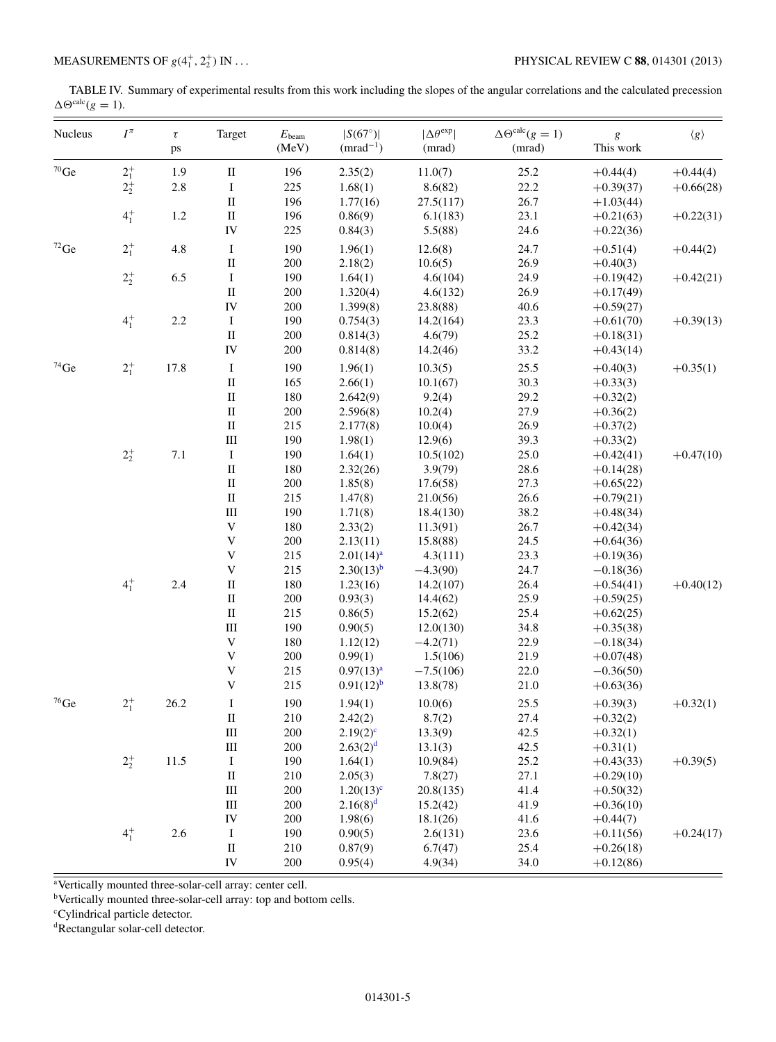<span id="page-4-0"></span>TABLE IV. Summary of experimental results from this work including the slopes of the angular correlations and the calculated precession  $\Delta\Theta^{\text{calc}}(g=1).$ 

| $^{70}\mathrm{Ge}$<br>$2^{+}_{1}$<br>1.9<br>$\rm II$<br>196<br>2.35(2)<br>11.0(7)<br>25.2<br>$+0.44(4)$<br>$+0.44(4)$<br>$2^+_2$<br>2.8<br>I<br>225<br>22.2<br>1.68(1)<br>8.6(82)<br>$+0.66(28)$<br>$+0.39(37)$<br>$\rm II$<br>26.7<br>196<br>1.77(16)<br>27.5(117)<br>$+1.03(44)$<br>$4^{+}_{1}$<br>1.2<br>$\rm II$<br>196<br>23.1<br>$+0.22(31)$<br>0.86(9)<br>6.1(183)<br>$+0.21(63)$<br>IV<br>225<br>0.84(3)<br>5.5(88)<br>24.6<br>$+0.22(36)$<br>$^{72}\mathrm{Ge}$<br>$2^{+}_{1}$<br>4.8<br>$\rm I$<br>190<br>12.6(8)<br>24.7<br>1.96(1)<br>$+0.51(4)$<br>$+0.44(2)$<br>$\rm II$<br>200<br>26.9<br>2.18(2)<br>10.6(5)<br>$+0.40(3)$<br>$2^{+}_{2}$<br>6.5<br>$\rm I$<br>190<br>24.9<br>1.64(1)<br>4.6(104)<br>$+0.42(21)$<br>$+0.19(42)$<br>$\rm II$<br>200<br>26.9<br>1.320(4)<br>4.6(132)<br>$+0.17(49)$<br>IV<br>200<br>40.6<br>1.399(8)<br>23.8(88)<br>$+0.59(27)$<br>$4^{+}_{1}$<br>2.2<br>190<br>I<br>23.3<br>0.754(3)<br>14.2(164)<br>$+0.61(70)$<br>$\rm II$<br>200<br>25.2<br>0.814(3)<br>4.6(79)<br>$+0.18(31)$<br>IV<br>200<br>33.2<br>0.814(8)<br>14.2(46)<br>$+0.43(14)$<br>$2^{+}_{1}$<br>$74$ Ge<br>17.8<br>$\rm I$<br>190<br>1.96(1)<br>25.5<br>10.3(5)<br>$+0.40(3)$<br>$+0.35(1)$<br>165<br>$\rm II$<br>30.3<br>2.66(1)<br>10.1(67)<br>$+0.33(3)$<br>$\rm II$<br>180<br>9.2(4)<br>29.2<br>2.642(9)<br>$+0.32(2)$<br>$\rm II$<br>200<br>27.9<br>2.596(8)<br>10.2(4)<br>$+0.36(2)$<br>$\rm II$<br>215<br>26.9<br>2.177(8)<br>10.0(4)<br>$+0.37(2)$<br>$\rm III$<br>190<br>39.3<br>1.98(1)<br>$+0.33(2)$<br>12.9(6)<br>$2^+_2$<br>7.1<br>190<br>25.0<br>I<br>1.64(1)<br>10.5(102)<br>$+0.42(41)$<br>$\rm II$<br>180<br>28.6<br>2.32(26)<br>3.9(79)<br>$+0.14(28)$<br>$\rm II$<br>200<br>1.85(8)<br>27.3<br>17.6(58)<br>$+0.65(22)$<br>$\rm II$<br>26.6<br>215<br>1.47(8)<br>21.0(56)<br>$+0.79(21)$<br>$\rm III$<br>190<br>38.2<br>1.71(8)<br>18.4(130)<br>$+0.48(34)$<br>$\mathbf V$<br>180<br>2.33(2)<br>26.7<br>11.3(91)<br>$+0.42(34)$<br>$\mathbf V$<br>200<br>24.5<br>2.13(11)<br>15.8(88)<br>$+0.64(36)$<br>$\mathbf V$<br>215<br>23.3<br>2.01(14) <sup>a</sup><br>4.3(111)<br>$+0.19(36)$<br>$\mathbf V$<br>215<br>$2.30(13)^{b}$<br>24.7<br>$-4.3(90)$<br>$-0.18(36)$<br>$4^{+}_{1}$<br>2.4<br>$\rm II$<br>180<br>26.4<br>1.23(16)<br>14.2(107)<br>$+0.54(41)$<br>$\rm II$<br>200<br>0.93(3)<br>25.9<br>14.4(62)<br>$+0.59(25)$<br>$\rm II$<br>215<br>25.4<br>0.86(5)<br>15.2(62)<br>$+0.62(25)$<br>$\rm III$<br>190<br>34.8<br>0.90(5)<br>12.0(130)<br>$+0.35(38)$<br>$\mathbf V$<br>180<br>22.9<br>1.12(12)<br>$-4.2(71)$<br>$-0.18(34)$<br>$\mathbf V$<br>200<br>0.99(1)<br>21.9<br>1.5(106)<br>$+0.07(48)$<br>$\mathbf V$<br>215<br>0.97(13) <sup>a</sup><br>$-7.5(106)$<br>22.0<br>$-0.36(50)$<br>$\ensuremath{\mathbf{V}}$<br>215<br>$0.91(12)^{b}$<br>21.0<br>13.8(78)<br>$+0.63(36)$<br>$^{76}\mathrm{Ge}$<br>$2^{+}_{1}$<br>26.2<br>$\bf{I}$<br>190<br>10.0(6)<br>25.5<br>1.94(1)<br>$+0.39(3)$<br>$+0.32(1)$<br>210<br>$\rm II$<br>2.42(2)<br>27.4<br>8.7(2)<br>$+0.32(2)$<br>$\rm III$<br>200<br>$2.19(2)^{c}$<br>13.3(9)<br>42.5<br>$+0.32(1)$<br>$\rm III$<br>200<br>2.63(2) <sup>d</sup><br>42.5<br>13.1(3)<br>$+0.31(1)$<br>$2^{+}_{2}$<br>11.5<br>$\rm I$<br>190<br>1.64(1)<br>25.2<br>$+0.39(5)$<br>10.9(84)<br>$+0.43(33)$<br>$\rm II$<br>27.1<br>210<br>2.05(3)<br>7.8(27)<br>$+0.29(10)$<br>$\rm III$<br>200<br>$1.20(13)^c$<br>20.8(135)<br>41.4<br>$+0.50(32)$<br>$\rm III$<br>$2.16(8)^d$<br>200<br>41.9<br>15.2(42)<br>$+0.36(10)$<br>IV<br>200<br>1.98(6)<br>18.1(26)<br>41.6<br>$+0.44(7)$<br>$4^{+}_{1}$<br>2.6<br>$\bf I$<br>190<br>0.90(5)<br>2.6(131)<br>23.6<br>$+0.11(56)$<br>$\rm II$<br>210<br>0.87(9)<br>6.7(47)<br>25.4<br>$+0.26(18)$<br>${\rm IV}$<br>34.0<br>200<br>0.95(4)<br>4.9(34)<br>$+0.12(86)$ | Nucleus | $I^{\pi}$ | $\tau$<br>ps | Target | $E_{\rm beam}$<br>(MeV) | $ S(67^\circ) $<br>$(mrad^{-1})$ | $ \Delta\theta^{\rm exp} $<br>(mrad) | $\Delta\Theta^{\text{calc}}(g=1)$<br>(mrad) | $\boldsymbol{g}$<br>This work | $\langle g \rangle$ |
|----------------------------------------------------------------------------------------------------------------------------------------------------------------------------------------------------------------------------------------------------------------------------------------------------------------------------------------------------------------------------------------------------------------------------------------------------------------------------------------------------------------------------------------------------------------------------------------------------------------------------------------------------------------------------------------------------------------------------------------------------------------------------------------------------------------------------------------------------------------------------------------------------------------------------------------------------------------------------------------------------------------------------------------------------------------------------------------------------------------------------------------------------------------------------------------------------------------------------------------------------------------------------------------------------------------------------------------------------------------------------------------------------------------------------------------------------------------------------------------------------------------------------------------------------------------------------------------------------------------------------------------------------------------------------------------------------------------------------------------------------------------------------------------------------------------------------------------------------------------------------------------------------------------------------------------------------------------------------------------------------------------------------------------------------------------------------------------------------------------------------------------------------------------------------------------------------------------------------------------------------------------------------------------------------------------------------------------------------------------------------------------------------------------------------------------------------------------------------------------------------------------------------------------------------------------------------------------------------------------------------------------------------------------------------------------------------------------------------------------------------------------------------------------------------------------------------------------------------------------------------------------------------------------------------------------------------------------------------------------------------------------------------------------------------------------------------------------------------------------------------------------------------------------------------------------------------------------------------------------------------------------------------------------------------------------------------------------------------------------------------------------------------------------------------------------------------------------------------------------------------------------------------------------------------------------------------------------------------------------------------------------------------------------------------------------------------------------------------------------------------------------------------|---------|-----------|--------------|--------|-------------------------|----------------------------------|--------------------------------------|---------------------------------------------|-------------------------------|---------------------|
|                                                                                                                                                                                                                                                                                                                                                                                                                                                                                                                                                                                                                                                                                                                                                                                                                                                                                                                                                                                                                                                                                                                                                                                                                                                                                                                                                                                                                                                                                                                                                                                                                                                                                                                                                                                                                                                                                                                                                                                                                                                                                                                                                                                                                                                                                                                                                                                                                                                                                                                                                                                                                                                                                                                                                                                                                                                                                                                                                                                                                                                                                                                                                                                                                                                                                                                                                                                                                                                                                                                                                                                                                                                                                                                                                                            |         |           |              |        |                         |                                  |                                      |                                             |                               |                     |
|                                                                                                                                                                                                                                                                                                                                                                                                                                                                                                                                                                                                                                                                                                                                                                                                                                                                                                                                                                                                                                                                                                                                                                                                                                                                                                                                                                                                                                                                                                                                                                                                                                                                                                                                                                                                                                                                                                                                                                                                                                                                                                                                                                                                                                                                                                                                                                                                                                                                                                                                                                                                                                                                                                                                                                                                                                                                                                                                                                                                                                                                                                                                                                                                                                                                                                                                                                                                                                                                                                                                                                                                                                                                                                                                                                            |         |           |              |        |                         |                                  |                                      |                                             |                               |                     |
|                                                                                                                                                                                                                                                                                                                                                                                                                                                                                                                                                                                                                                                                                                                                                                                                                                                                                                                                                                                                                                                                                                                                                                                                                                                                                                                                                                                                                                                                                                                                                                                                                                                                                                                                                                                                                                                                                                                                                                                                                                                                                                                                                                                                                                                                                                                                                                                                                                                                                                                                                                                                                                                                                                                                                                                                                                                                                                                                                                                                                                                                                                                                                                                                                                                                                                                                                                                                                                                                                                                                                                                                                                                                                                                                                                            |         |           |              |        |                         |                                  |                                      |                                             |                               |                     |
|                                                                                                                                                                                                                                                                                                                                                                                                                                                                                                                                                                                                                                                                                                                                                                                                                                                                                                                                                                                                                                                                                                                                                                                                                                                                                                                                                                                                                                                                                                                                                                                                                                                                                                                                                                                                                                                                                                                                                                                                                                                                                                                                                                                                                                                                                                                                                                                                                                                                                                                                                                                                                                                                                                                                                                                                                                                                                                                                                                                                                                                                                                                                                                                                                                                                                                                                                                                                                                                                                                                                                                                                                                                                                                                                                                            |         |           |              |        |                         |                                  |                                      |                                             |                               |                     |
| $+0.39(13)$<br>$+0.47(10)$<br>$+0.40(12)$<br>$+0.24(17)$                                                                                                                                                                                                                                                                                                                                                                                                                                                                                                                                                                                                                                                                                                                                                                                                                                                                                                                                                                                                                                                                                                                                                                                                                                                                                                                                                                                                                                                                                                                                                                                                                                                                                                                                                                                                                                                                                                                                                                                                                                                                                                                                                                                                                                                                                                                                                                                                                                                                                                                                                                                                                                                                                                                                                                                                                                                                                                                                                                                                                                                                                                                                                                                                                                                                                                                                                                                                                                                                                                                                                                                                                                                                                                                   |         |           |              |        |                         |                                  |                                      |                                             |                               |                     |
|                                                                                                                                                                                                                                                                                                                                                                                                                                                                                                                                                                                                                                                                                                                                                                                                                                                                                                                                                                                                                                                                                                                                                                                                                                                                                                                                                                                                                                                                                                                                                                                                                                                                                                                                                                                                                                                                                                                                                                                                                                                                                                                                                                                                                                                                                                                                                                                                                                                                                                                                                                                                                                                                                                                                                                                                                                                                                                                                                                                                                                                                                                                                                                                                                                                                                                                                                                                                                                                                                                                                                                                                                                                                                                                                                                            |         |           |              |        |                         |                                  |                                      |                                             |                               |                     |
|                                                                                                                                                                                                                                                                                                                                                                                                                                                                                                                                                                                                                                                                                                                                                                                                                                                                                                                                                                                                                                                                                                                                                                                                                                                                                                                                                                                                                                                                                                                                                                                                                                                                                                                                                                                                                                                                                                                                                                                                                                                                                                                                                                                                                                                                                                                                                                                                                                                                                                                                                                                                                                                                                                                                                                                                                                                                                                                                                                                                                                                                                                                                                                                                                                                                                                                                                                                                                                                                                                                                                                                                                                                                                                                                                                            |         |           |              |        |                         |                                  |                                      |                                             |                               |                     |
|                                                                                                                                                                                                                                                                                                                                                                                                                                                                                                                                                                                                                                                                                                                                                                                                                                                                                                                                                                                                                                                                                                                                                                                                                                                                                                                                                                                                                                                                                                                                                                                                                                                                                                                                                                                                                                                                                                                                                                                                                                                                                                                                                                                                                                                                                                                                                                                                                                                                                                                                                                                                                                                                                                                                                                                                                                                                                                                                                                                                                                                                                                                                                                                                                                                                                                                                                                                                                                                                                                                                                                                                                                                                                                                                                                            |         |           |              |        |                         |                                  |                                      |                                             |                               |                     |
|                                                                                                                                                                                                                                                                                                                                                                                                                                                                                                                                                                                                                                                                                                                                                                                                                                                                                                                                                                                                                                                                                                                                                                                                                                                                                                                                                                                                                                                                                                                                                                                                                                                                                                                                                                                                                                                                                                                                                                                                                                                                                                                                                                                                                                                                                                                                                                                                                                                                                                                                                                                                                                                                                                                                                                                                                                                                                                                                                                                                                                                                                                                                                                                                                                                                                                                                                                                                                                                                                                                                                                                                                                                                                                                                                                            |         |           |              |        |                         |                                  |                                      |                                             |                               |                     |
|                                                                                                                                                                                                                                                                                                                                                                                                                                                                                                                                                                                                                                                                                                                                                                                                                                                                                                                                                                                                                                                                                                                                                                                                                                                                                                                                                                                                                                                                                                                                                                                                                                                                                                                                                                                                                                                                                                                                                                                                                                                                                                                                                                                                                                                                                                                                                                                                                                                                                                                                                                                                                                                                                                                                                                                                                                                                                                                                                                                                                                                                                                                                                                                                                                                                                                                                                                                                                                                                                                                                                                                                                                                                                                                                                                            |         |           |              |        |                         |                                  |                                      |                                             |                               |                     |
|                                                                                                                                                                                                                                                                                                                                                                                                                                                                                                                                                                                                                                                                                                                                                                                                                                                                                                                                                                                                                                                                                                                                                                                                                                                                                                                                                                                                                                                                                                                                                                                                                                                                                                                                                                                                                                                                                                                                                                                                                                                                                                                                                                                                                                                                                                                                                                                                                                                                                                                                                                                                                                                                                                                                                                                                                                                                                                                                                                                                                                                                                                                                                                                                                                                                                                                                                                                                                                                                                                                                                                                                                                                                                                                                                                            |         |           |              |        |                         |                                  |                                      |                                             |                               |                     |
|                                                                                                                                                                                                                                                                                                                                                                                                                                                                                                                                                                                                                                                                                                                                                                                                                                                                                                                                                                                                                                                                                                                                                                                                                                                                                                                                                                                                                                                                                                                                                                                                                                                                                                                                                                                                                                                                                                                                                                                                                                                                                                                                                                                                                                                                                                                                                                                                                                                                                                                                                                                                                                                                                                                                                                                                                                                                                                                                                                                                                                                                                                                                                                                                                                                                                                                                                                                                                                                                                                                                                                                                                                                                                                                                                                            |         |           |              |        |                         |                                  |                                      |                                             |                               |                     |
|                                                                                                                                                                                                                                                                                                                                                                                                                                                                                                                                                                                                                                                                                                                                                                                                                                                                                                                                                                                                                                                                                                                                                                                                                                                                                                                                                                                                                                                                                                                                                                                                                                                                                                                                                                                                                                                                                                                                                                                                                                                                                                                                                                                                                                                                                                                                                                                                                                                                                                                                                                                                                                                                                                                                                                                                                                                                                                                                                                                                                                                                                                                                                                                                                                                                                                                                                                                                                                                                                                                                                                                                                                                                                                                                                                            |         |           |              |        |                         |                                  |                                      |                                             |                               |                     |
|                                                                                                                                                                                                                                                                                                                                                                                                                                                                                                                                                                                                                                                                                                                                                                                                                                                                                                                                                                                                                                                                                                                                                                                                                                                                                                                                                                                                                                                                                                                                                                                                                                                                                                                                                                                                                                                                                                                                                                                                                                                                                                                                                                                                                                                                                                                                                                                                                                                                                                                                                                                                                                                                                                                                                                                                                                                                                                                                                                                                                                                                                                                                                                                                                                                                                                                                                                                                                                                                                                                                                                                                                                                                                                                                                                            |         |           |              |        |                         |                                  |                                      |                                             |                               |                     |
|                                                                                                                                                                                                                                                                                                                                                                                                                                                                                                                                                                                                                                                                                                                                                                                                                                                                                                                                                                                                                                                                                                                                                                                                                                                                                                                                                                                                                                                                                                                                                                                                                                                                                                                                                                                                                                                                                                                                                                                                                                                                                                                                                                                                                                                                                                                                                                                                                                                                                                                                                                                                                                                                                                                                                                                                                                                                                                                                                                                                                                                                                                                                                                                                                                                                                                                                                                                                                                                                                                                                                                                                                                                                                                                                                                            |         |           |              |        |                         |                                  |                                      |                                             |                               |                     |
|                                                                                                                                                                                                                                                                                                                                                                                                                                                                                                                                                                                                                                                                                                                                                                                                                                                                                                                                                                                                                                                                                                                                                                                                                                                                                                                                                                                                                                                                                                                                                                                                                                                                                                                                                                                                                                                                                                                                                                                                                                                                                                                                                                                                                                                                                                                                                                                                                                                                                                                                                                                                                                                                                                                                                                                                                                                                                                                                                                                                                                                                                                                                                                                                                                                                                                                                                                                                                                                                                                                                                                                                                                                                                                                                                                            |         |           |              |        |                         |                                  |                                      |                                             |                               |                     |
|                                                                                                                                                                                                                                                                                                                                                                                                                                                                                                                                                                                                                                                                                                                                                                                                                                                                                                                                                                                                                                                                                                                                                                                                                                                                                                                                                                                                                                                                                                                                                                                                                                                                                                                                                                                                                                                                                                                                                                                                                                                                                                                                                                                                                                                                                                                                                                                                                                                                                                                                                                                                                                                                                                                                                                                                                                                                                                                                                                                                                                                                                                                                                                                                                                                                                                                                                                                                                                                                                                                                                                                                                                                                                                                                                                            |         |           |              |        |                         |                                  |                                      |                                             |                               |                     |
|                                                                                                                                                                                                                                                                                                                                                                                                                                                                                                                                                                                                                                                                                                                                                                                                                                                                                                                                                                                                                                                                                                                                                                                                                                                                                                                                                                                                                                                                                                                                                                                                                                                                                                                                                                                                                                                                                                                                                                                                                                                                                                                                                                                                                                                                                                                                                                                                                                                                                                                                                                                                                                                                                                                                                                                                                                                                                                                                                                                                                                                                                                                                                                                                                                                                                                                                                                                                                                                                                                                                                                                                                                                                                                                                                                            |         |           |              |        |                         |                                  |                                      |                                             |                               |                     |
|                                                                                                                                                                                                                                                                                                                                                                                                                                                                                                                                                                                                                                                                                                                                                                                                                                                                                                                                                                                                                                                                                                                                                                                                                                                                                                                                                                                                                                                                                                                                                                                                                                                                                                                                                                                                                                                                                                                                                                                                                                                                                                                                                                                                                                                                                                                                                                                                                                                                                                                                                                                                                                                                                                                                                                                                                                                                                                                                                                                                                                                                                                                                                                                                                                                                                                                                                                                                                                                                                                                                                                                                                                                                                                                                                                            |         |           |              |        |                         |                                  |                                      |                                             |                               |                     |
|                                                                                                                                                                                                                                                                                                                                                                                                                                                                                                                                                                                                                                                                                                                                                                                                                                                                                                                                                                                                                                                                                                                                                                                                                                                                                                                                                                                                                                                                                                                                                                                                                                                                                                                                                                                                                                                                                                                                                                                                                                                                                                                                                                                                                                                                                                                                                                                                                                                                                                                                                                                                                                                                                                                                                                                                                                                                                                                                                                                                                                                                                                                                                                                                                                                                                                                                                                                                                                                                                                                                                                                                                                                                                                                                                                            |         |           |              |        |                         |                                  |                                      |                                             |                               |                     |
|                                                                                                                                                                                                                                                                                                                                                                                                                                                                                                                                                                                                                                                                                                                                                                                                                                                                                                                                                                                                                                                                                                                                                                                                                                                                                                                                                                                                                                                                                                                                                                                                                                                                                                                                                                                                                                                                                                                                                                                                                                                                                                                                                                                                                                                                                                                                                                                                                                                                                                                                                                                                                                                                                                                                                                                                                                                                                                                                                                                                                                                                                                                                                                                                                                                                                                                                                                                                                                                                                                                                                                                                                                                                                                                                                                            |         |           |              |        |                         |                                  |                                      |                                             |                               |                     |
|                                                                                                                                                                                                                                                                                                                                                                                                                                                                                                                                                                                                                                                                                                                                                                                                                                                                                                                                                                                                                                                                                                                                                                                                                                                                                                                                                                                                                                                                                                                                                                                                                                                                                                                                                                                                                                                                                                                                                                                                                                                                                                                                                                                                                                                                                                                                                                                                                                                                                                                                                                                                                                                                                                                                                                                                                                                                                                                                                                                                                                                                                                                                                                                                                                                                                                                                                                                                                                                                                                                                                                                                                                                                                                                                                                            |         |           |              |        |                         |                                  |                                      |                                             |                               |                     |
|                                                                                                                                                                                                                                                                                                                                                                                                                                                                                                                                                                                                                                                                                                                                                                                                                                                                                                                                                                                                                                                                                                                                                                                                                                                                                                                                                                                                                                                                                                                                                                                                                                                                                                                                                                                                                                                                                                                                                                                                                                                                                                                                                                                                                                                                                                                                                                                                                                                                                                                                                                                                                                                                                                                                                                                                                                                                                                                                                                                                                                                                                                                                                                                                                                                                                                                                                                                                                                                                                                                                                                                                                                                                                                                                                                            |         |           |              |        |                         |                                  |                                      |                                             |                               |                     |
|                                                                                                                                                                                                                                                                                                                                                                                                                                                                                                                                                                                                                                                                                                                                                                                                                                                                                                                                                                                                                                                                                                                                                                                                                                                                                                                                                                                                                                                                                                                                                                                                                                                                                                                                                                                                                                                                                                                                                                                                                                                                                                                                                                                                                                                                                                                                                                                                                                                                                                                                                                                                                                                                                                                                                                                                                                                                                                                                                                                                                                                                                                                                                                                                                                                                                                                                                                                                                                                                                                                                                                                                                                                                                                                                                                            |         |           |              |        |                         |                                  |                                      |                                             |                               |                     |
|                                                                                                                                                                                                                                                                                                                                                                                                                                                                                                                                                                                                                                                                                                                                                                                                                                                                                                                                                                                                                                                                                                                                                                                                                                                                                                                                                                                                                                                                                                                                                                                                                                                                                                                                                                                                                                                                                                                                                                                                                                                                                                                                                                                                                                                                                                                                                                                                                                                                                                                                                                                                                                                                                                                                                                                                                                                                                                                                                                                                                                                                                                                                                                                                                                                                                                                                                                                                                                                                                                                                                                                                                                                                                                                                                                            |         |           |              |        |                         |                                  |                                      |                                             |                               |                     |
|                                                                                                                                                                                                                                                                                                                                                                                                                                                                                                                                                                                                                                                                                                                                                                                                                                                                                                                                                                                                                                                                                                                                                                                                                                                                                                                                                                                                                                                                                                                                                                                                                                                                                                                                                                                                                                                                                                                                                                                                                                                                                                                                                                                                                                                                                                                                                                                                                                                                                                                                                                                                                                                                                                                                                                                                                                                                                                                                                                                                                                                                                                                                                                                                                                                                                                                                                                                                                                                                                                                                                                                                                                                                                                                                                                            |         |           |              |        |                         |                                  |                                      |                                             |                               |                     |
|                                                                                                                                                                                                                                                                                                                                                                                                                                                                                                                                                                                                                                                                                                                                                                                                                                                                                                                                                                                                                                                                                                                                                                                                                                                                                                                                                                                                                                                                                                                                                                                                                                                                                                                                                                                                                                                                                                                                                                                                                                                                                                                                                                                                                                                                                                                                                                                                                                                                                                                                                                                                                                                                                                                                                                                                                                                                                                                                                                                                                                                                                                                                                                                                                                                                                                                                                                                                                                                                                                                                                                                                                                                                                                                                                                            |         |           |              |        |                         |                                  |                                      |                                             |                               |                     |
|                                                                                                                                                                                                                                                                                                                                                                                                                                                                                                                                                                                                                                                                                                                                                                                                                                                                                                                                                                                                                                                                                                                                                                                                                                                                                                                                                                                                                                                                                                                                                                                                                                                                                                                                                                                                                                                                                                                                                                                                                                                                                                                                                                                                                                                                                                                                                                                                                                                                                                                                                                                                                                                                                                                                                                                                                                                                                                                                                                                                                                                                                                                                                                                                                                                                                                                                                                                                                                                                                                                                                                                                                                                                                                                                                                            |         |           |              |        |                         |                                  |                                      |                                             |                               |                     |
|                                                                                                                                                                                                                                                                                                                                                                                                                                                                                                                                                                                                                                                                                                                                                                                                                                                                                                                                                                                                                                                                                                                                                                                                                                                                                                                                                                                                                                                                                                                                                                                                                                                                                                                                                                                                                                                                                                                                                                                                                                                                                                                                                                                                                                                                                                                                                                                                                                                                                                                                                                                                                                                                                                                                                                                                                                                                                                                                                                                                                                                                                                                                                                                                                                                                                                                                                                                                                                                                                                                                                                                                                                                                                                                                                                            |         |           |              |        |                         |                                  |                                      |                                             |                               |                     |
|                                                                                                                                                                                                                                                                                                                                                                                                                                                                                                                                                                                                                                                                                                                                                                                                                                                                                                                                                                                                                                                                                                                                                                                                                                                                                                                                                                                                                                                                                                                                                                                                                                                                                                                                                                                                                                                                                                                                                                                                                                                                                                                                                                                                                                                                                                                                                                                                                                                                                                                                                                                                                                                                                                                                                                                                                                                                                                                                                                                                                                                                                                                                                                                                                                                                                                                                                                                                                                                                                                                                                                                                                                                                                                                                                                            |         |           |              |        |                         |                                  |                                      |                                             |                               |                     |
|                                                                                                                                                                                                                                                                                                                                                                                                                                                                                                                                                                                                                                                                                                                                                                                                                                                                                                                                                                                                                                                                                                                                                                                                                                                                                                                                                                                                                                                                                                                                                                                                                                                                                                                                                                                                                                                                                                                                                                                                                                                                                                                                                                                                                                                                                                                                                                                                                                                                                                                                                                                                                                                                                                                                                                                                                                                                                                                                                                                                                                                                                                                                                                                                                                                                                                                                                                                                                                                                                                                                                                                                                                                                                                                                                                            |         |           |              |        |                         |                                  |                                      |                                             |                               |                     |
|                                                                                                                                                                                                                                                                                                                                                                                                                                                                                                                                                                                                                                                                                                                                                                                                                                                                                                                                                                                                                                                                                                                                                                                                                                                                                                                                                                                                                                                                                                                                                                                                                                                                                                                                                                                                                                                                                                                                                                                                                                                                                                                                                                                                                                                                                                                                                                                                                                                                                                                                                                                                                                                                                                                                                                                                                                                                                                                                                                                                                                                                                                                                                                                                                                                                                                                                                                                                                                                                                                                                                                                                                                                                                                                                                                            |         |           |              |        |                         |                                  |                                      |                                             |                               |                     |
|                                                                                                                                                                                                                                                                                                                                                                                                                                                                                                                                                                                                                                                                                                                                                                                                                                                                                                                                                                                                                                                                                                                                                                                                                                                                                                                                                                                                                                                                                                                                                                                                                                                                                                                                                                                                                                                                                                                                                                                                                                                                                                                                                                                                                                                                                                                                                                                                                                                                                                                                                                                                                                                                                                                                                                                                                                                                                                                                                                                                                                                                                                                                                                                                                                                                                                                                                                                                                                                                                                                                                                                                                                                                                                                                                                            |         |           |              |        |                         |                                  |                                      |                                             |                               |                     |
|                                                                                                                                                                                                                                                                                                                                                                                                                                                                                                                                                                                                                                                                                                                                                                                                                                                                                                                                                                                                                                                                                                                                                                                                                                                                                                                                                                                                                                                                                                                                                                                                                                                                                                                                                                                                                                                                                                                                                                                                                                                                                                                                                                                                                                                                                                                                                                                                                                                                                                                                                                                                                                                                                                                                                                                                                                                                                                                                                                                                                                                                                                                                                                                                                                                                                                                                                                                                                                                                                                                                                                                                                                                                                                                                                                            |         |           |              |        |                         |                                  |                                      |                                             |                               |                     |
|                                                                                                                                                                                                                                                                                                                                                                                                                                                                                                                                                                                                                                                                                                                                                                                                                                                                                                                                                                                                                                                                                                                                                                                                                                                                                                                                                                                                                                                                                                                                                                                                                                                                                                                                                                                                                                                                                                                                                                                                                                                                                                                                                                                                                                                                                                                                                                                                                                                                                                                                                                                                                                                                                                                                                                                                                                                                                                                                                                                                                                                                                                                                                                                                                                                                                                                                                                                                                                                                                                                                                                                                                                                                                                                                                                            |         |           |              |        |                         |                                  |                                      |                                             |                               |                     |
|                                                                                                                                                                                                                                                                                                                                                                                                                                                                                                                                                                                                                                                                                                                                                                                                                                                                                                                                                                                                                                                                                                                                                                                                                                                                                                                                                                                                                                                                                                                                                                                                                                                                                                                                                                                                                                                                                                                                                                                                                                                                                                                                                                                                                                                                                                                                                                                                                                                                                                                                                                                                                                                                                                                                                                                                                                                                                                                                                                                                                                                                                                                                                                                                                                                                                                                                                                                                                                                                                                                                                                                                                                                                                                                                                                            |         |           |              |        |                         |                                  |                                      |                                             |                               |                     |
|                                                                                                                                                                                                                                                                                                                                                                                                                                                                                                                                                                                                                                                                                                                                                                                                                                                                                                                                                                                                                                                                                                                                                                                                                                                                                                                                                                                                                                                                                                                                                                                                                                                                                                                                                                                                                                                                                                                                                                                                                                                                                                                                                                                                                                                                                                                                                                                                                                                                                                                                                                                                                                                                                                                                                                                                                                                                                                                                                                                                                                                                                                                                                                                                                                                                                                                                                                                                                                                                                                                                                                                                                                                                                                                                                                            |         |           |              |        |                         |                                  |                                      |                                             |                               |                     |
|                                                                                                                                                                                                                                                                                                                                                                                                                                                                                                                                                                                                                                                                                                                                                                                                                                                                                                                                                                                                                                                                                                                                                                                                                                                                                                                                                                                                                                                                                                                                                                                                                                                                                                                                                                                                                                                                                                                                                                                                                                                                                                                                                                                                                                                                                                                                                                                                                                                                                                                                                                                                                                                                                                                                                                                                                                                                                                                                                                                                                                                                                                                                                                                                                                                                                                                                                                                                                                                                                                                                                                                                                                                                                                                                                                            |         |           |              |        |                         |                                  |                                      |                                             |                               |                     |
|                                                                                                                                                                                                                                                                                                                                                                                                                                                                                                                                                                                                                                                                                                                                                                                                                                                                                                                                                                                                                                                                                                                                                                                                                                                                                                                                                                                                                                                                                                                                                                                                                                                                                                                                                                                                                                                                                                                                                                                                                                                                                                                                                                                                                                                                                                                                                                                                                                                                                                                                                                                                                                                                                                                                                                                                                                                                                                                                                                                                                                                                                                                                                                                                                                                                                                                                                                                                                                                                                                                                                                                                                                                                                                                                                                            |         |           |              |        |                         |                                  |                                      |                                             |                               |                     |
|                                                                                                                                                                                                                                                                                                                                                                                                                                                                                                                                                                                                                                                                                                                                                                                                                                                                                                                                                                                                                                                                                                                                                                                                                                                                                                                                                                                                                                                                                                                                                                                                                                                                                                                                                                                                                                                                                                                                                                                                                                                                                                                                                                                                                                                                                                                                                                                                                                                                                                                                                                                                                                                                                                                                                                                                                                                                                                                                                                                                                                                                                                                                                                                                                                                                                                                                                                                                                                                                                                                                                                                                                                                                                                                                                                            |         |           |              |        |                         |                                  |                                      |                                             |                               |                     |
|                                                                                                                                                                                                                                                                                                                                                                                                                                                                                                                                                                                                                                                                                                                                                                                                                                                                                                                                                                                                                                                                                                                                                                                                                                                                                                                                                                                                                                                                                                                                                                                                                                                                                                                                                                                                                                                                                                                                                                                                                                                                                                                                                                                                                                                                                                                                                                                                                                                                                                                                                                                                                                                                                                                                                                                                                                                                                                                                                                                                                                                                                                                                                                                                                                                                                                                                                                                                                                                                                                                                                                                                                                                                                                                                                                            |         |           |              |        |                         |                                  |                                      |                                             |                               |                     |
|                                                                                                                                                                                                                                                                                                                                                                                                                                                                                                                                                                                                                                                                                                                                                                                                                                                                                                                                                                                                                                                                                                                                                                                                                                                                                                                                                                                                                                                                                                                                                                                                                                                                                                                                                                                                                                                                                                                                                                                                                                                                                                                                                                                                                                                                                                                                                                                                                                                                                                                                                                                                                                                                                                                                                                                                                                                                                                                                                                                                                                                                                                                                                                                                                                                                                                                                                                                                                                                                                                                                                                                                                                                                                                                                                                            |         |           |              |        |                         |                                  |                                      |                                             |                               |                     |
|                                                                                                                                                                                                                                                                                                                                                                                                                                                                                                                                                                                                                                                                                                                                                                                                                                                                                                                                                                                                                                                                                                                                                                                                                                                                                                                                                                                                                                                                                                                                                                                                                                                                                                                                                                                                                                                                                                                                                                                                                                                                                                                                                                                                                                                                                                                                                                                                                                                                                                                                                                                                                                                                                                                                                                                                                                                                                                                                                                                                                                                                                                                                                                                                                                                                                                                                                                                                                                                                                                                                                                                                                                                                                                                                                                            |         |           |              |        |                         |                                  |                                      |                                             |                               |                     |
|                                                                                                                                                                                                                                                                                                                                                                                                                                                                                                                                                                                                                                                                                                                                                                                                                                                                                                                                                                                                                                                                                                                                                                                                                                                                                                                                                                                                                                                                                                                                                                                                                                                                                                                                                                                                                                                                                                                                                                                                                                                                                                                                                                                                                                                                                                                                                                                                                                                                                                                                                                                                                                                                                                                                                                                                                                                                                                                                                                                                                                                                                                                                                                                                                                                                                                                                                                                                                                                                                                                                                                                                                                                                                                                                                                            |         |           |              |        |                         |                                  |                                      |                                             |                               |                     |
|                                                                                                                                                                                                                                                                                                                                                                                                                                                                                                                                                                                                                                                                                                                                                                                                                                                                                                                                                                                                                                                                                                                                                                                                                                                                                                                                                                                                                                                                                                                                                                                                                                                                                                                                                                                                                                                                                                                                                                                                                                                                                                                                                                                                                                                                                                                                                                                                                                                                                                                                                                                                                                                                                                                                                                                                                                                                                                                                                                                                                                                                                                                                                                                                                                                                                                                                                                                                                                                                                                                                                                                                                                                                                                                                                                            |         |           |              |        |                         |                                  |                                      |                                             |                               |                     |
|                                                                                                                                                                                                                                                                                                                                                                                                                                                                                                                                                                                                                                                                                                                                                                                                                                                                                                                                                                                                                                                                                                                                                                                                                                                                                                                                                                                                                                                                                                                                                                                                                                                                                                                                                                                                                                                                                                                                                                                                                                                                                                                                                                                                                                                                                                                                                                                                                                                                                                                                                                                                                                                                                                                                                                                                                                                                                                                                                                                                                                                                                                                                                                                                                                                                                                                                                                                                                                                                                                                                                                                                                                                                                                                                                                            |         |           |              |        |                         |                                  |                                      |                                             |                               |                     |
|                                                                                                                                                                                                                                                                                                                                                                                                                                                                                                                                                                                                                                                                                                                                                                                                                                                                                                                                                                                                                                                                                                                                                                                                                                                                                                                                                                                                                                                                                                                                                                                                                                                                                                                                                                                                                                                                                                                                                                                                                                                                                                                                                                                                                                                                                                                                                                                                                                                                                                                                                                                                                                                                                                                                                                                                                                                                                                                                                                                                                                                                                                                                                                                                                                                                                                                                                                                                                                                                                                                                                                                                                                                                                                                                                                            |         |           |              |        |                         |                                  |                                      |                                             |                               |                     |
|                                                                                                                                                                                                                                                                                                                                                                                                                                                                                                                                                                                                                                                                                                                                                                                                                                                                                                                                                                                                                                                                                                                                                                                                                                                                                                                                                                                                                                                                                                                                                                                                                                                                                                                                                                                                                                                                                                                                                                                                                                                                                                                                                                                                                                                                                                                                                                                                                                                                                                                                                                                                                                                                                                                                                                                                                                                                                                                                                                                                                                                                                                                                                                                                                                                                                                                                                                                                                                                                                                                                                                                                                                                                                                                                                                            |         |           |              |        |                         |                                  |                                      |                                             |                               |                     |

a Vertically mounted three-solar-cell array: center cell.

bVertically mounted three-solar-cell array: top and bottom cells.

c Cylindrical particle detector.

dRectangular solar-cell detector.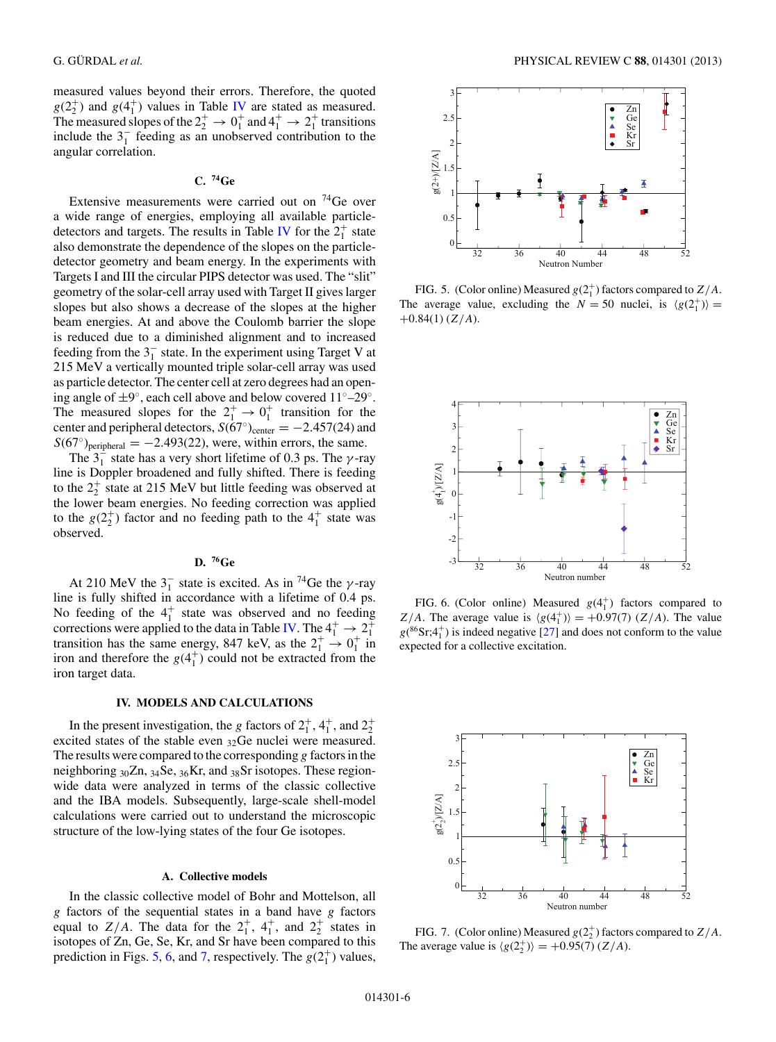measured values beyond their errors. Therefore, the quoted  $g(2_2^+)$  and  $g(4_1^+)$  values in Table [IV](#page-4-0) are stated as measured. The measured slopes of the  $2^+_2 \rightarrow 0^+_1$  and  $4^+_1 \rightarrow 2^+_1$  transitions include the  $3<sub>1</sub><sup>-</sup>$  feeding as an unobserved contribution to the angular correlation.

# **C. 74Ge**

Extensive measurements were carried out on  $^{74}$ Ge over a wide range of energies, employing all available particle-detectors and targets. The results in Table [IV](#page-4-0) for the  $2^+_1$  state also demonstrate the dependence of the slopes on the particledetector geometry and beam energy. In the experiments with Targets I and III the circular PIPS detector was used. The "slit" geometry of the solar-cell array used with Target II gives larger slopes but also shows a decrease of the slopes at the higher beam energies. At and above the Coulomb barrier the slope is reduced due to a diminished alignment and to increased feeding from the  $3<sub>1</sub><sup>-</sup>$  state. In the experiment using Target V at 215 MeV a vertically mounted triple solar-cell array was used as particle detector. The center cell at zero degrees had an opening angle of ±9◦, each cell above and below covered 11◦–29◦. The measured slopes for the  $2^{+}_{1} \rightarrow 0^{+}_{1}$  transition for the center and peripheral detectors,  $S(67°)_{\text{center}} = -2.457(24)$  and  $S(67°)$ <sub>peripheral</sub> = -2.493(22), were, within errors, the same.

The  $3<sub>1</sub><sup>-</sup>$  state has a very short lifetime of 0.3 ps. The  $\gamma$ -ray line is Doppler broadened and fully shifted. There is feeding to the  $2^+_2$  state at 215 MeV but little feeding was observed at the lower beam energies. No feeding correction was applied to the  $g(2_2^+)$  factor and no feeding path to the  $4_1^+$  state was observed.

#### **D. 76Ge**

At 210 MeV the  $3<sub>1</sub><sup>-</sup>$  state is excited. As in <sup>74</sup>Ge the  $\gamma$ -ray line is fully shifted in accordance with a lifetime of 0.4 ps. No feeding of the  $4<sub>1</sub><sup>+</sup>$  state was observed and no feeding corrections were applied to the data in Table [IV.](#page-4-0) The  $4_1^+ \rightarrow 2_1^+$ transition has the same energy, 847 keV, as the  $2^+_1 \rightarrow 0^+_1$  in iron and therefore the  $g(4<sub>1</sub><sup>+</sup>)$  could not be extracted from the iron target data.

#### **IV. MODELS AND CALCULATIONS**

In the present investigation, the g factors of  $2^+_1$ ,  $4^+_1$ , and  $2^+_2$ excited states of the stable even 32Ge nuclei were measured. The results were compared to the corresponding  $g$  factors in the neighboring  $_{30}Zn$ ,  $_{34}Se$ ,  $_{36}Kr$ , and  $_{38}Sr$  isotopes. These regionwide data were analyzed in terms of the classic collective and the IBA models. Subsequently, large-scale shell-model calculations were carried out to understand the microscopic structure of the low-lying states of the four Ge isotopes.

### **A. Collective models**

In the classic collective model of Bohr and Mottelson, all g factors of the sequential states in a band have g factors equal to  $Z/A$ . The data for the  $2_1^+$ ,  $4_1^+$ , and  $2_2^+$  states in isotopes of Zn, Ge, Se, Kr, and Sr have been compared to this prediction in Figs. 5, 6, and 7, respectively. The  $g(2_1^+)$  values,



FIG. 5. (Color online) Measured  $g(2_1^+)$  factors compared to  $Z/A$ . The average value, excluding the  $N = 50$  nuclei, is  $\langle g(2_1^+) \rangle =$  $+0.84(1)$  (Z/A).



FIG. 6. (Color online) Measured  $g(4<sub>1</sub><sup>+</sup>)$  factors compared to  $Z/A$ . The average value is  $\langle g(4_1^+) \rangle = +0.97(7)$  ( $Z/A$ ). The value  $g(^{86}Sr;4<sup>+</sup>)$  is indeed negative [\[27\]](#page-8-0) and does not conform to the value expected for a collective excitation.



FIG. 7. (Color online) Measured  $g(2^+_2)$  factors compared to  $Z/A$ . The average value is  $\langle g(2^+_2) \rangle = +0.95(7) (Z/A)$ .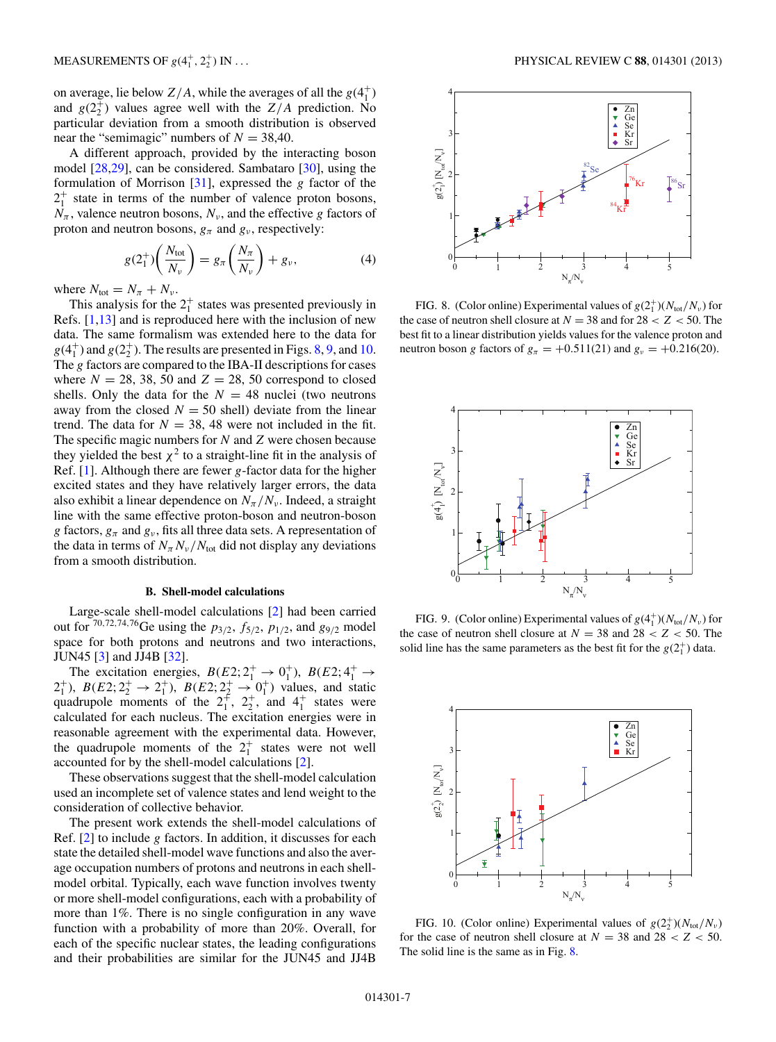on average, lie below  $Z/A$ , while the averages of all the  $g(4<sub>1</sub><sup>+</sup>)$ and  $g(2^+_2)$  values agree well with the  $Z/A$  prediction. No particular deviation from a smooth distribution is observed near the "semimagic" numbers of  $N = 38,40$ .

A different approach, provided by the interacting boson model [\[28,29\]](#page-8-0), can be considered. Sambataro [\[30\]](#page-8-0), using the formulation of Morrison  $[31]$ , expressed the g factor of the  $2_1^+$  state in terms of the number of valence proton bosons,  $N_\pi$ , valence neutron bosons,  $N_\nu$ , and the effective g factors of proton and neutron bosons,  $g_{\pi}$  and  $g_{\nu}$ , respectively:

$$
g(2_1^+) \left( \frac{N_{\text{tot}}}{N_v} \right) = g_\pi \left( \frac{N_\pi}{N_v} \right) + g_\nu, \tag{4}
$$

where  $N_{\text{tot}} = N_{\pi} + N_{\nu}$ .

This analysis for the  $2^+_1$  states was presented previously in Refs.  $[1,13]$  and is reproduced here with the inclusion of new data. The same formalism was extended here to the data for  $g(4<sub>1</sub><sup>+</sup>)$  and  $g(2<sub>2</sub><sup>+</sup>)$ . The results are presented in Figs. 8, 9, and 10. The g factors are compared to the IBA-II descriptions for cases where  $N = 28, 38, 50$  and  $Z = 28, 50$  correspond to closed shells. Only the data for the  $N = 48$  nuclei (two neutrons away from the closed  $N = 50$  shell) deviate from the linear trend. The data for  $N = 38$ , 48 were not included in the fit. The specific magic numbers for  $N$  and  $Z$  were chosen because they yielded the best  $\chi^2$  to a straight-line fit in the analysis of Ref.  $[1]$ . Although there are fewer g-factor data for the higher excited states and they have relatively larger errors, the data also exhibit a linear dependence on  $N_\pi/N_\nu$ . Indeed, a straight line with the same effective proton-boson and neutron-boson g factors,  $g_{\pi}$  and  $g_{\nu}$ , fits all three data sets. A representation of the data in terms of  $N_\pi N_\nu/N_{\text{tot}}$  did not display any deviations from a smooth distribution.

### **B. Shell-model calculations**

Large-scale shell-model calculations [\[2\]](#page-8-0) had been carried out for  $70,72,74,76$  Ge using the  $p_{3/2}$ ,  $f_{5/2}$ ,  $p_{1/2}$ , and  $g_{9/2}$  model space for both protons and neutrons and two interactions, JUN45 [\[3\]](#page-8-0) and JJ4B [\[32\]](#page-8-0).

The excitation energies,  $B(E2; 2^+_1 \rightarrow 0^+_1)$ ,  $B(E2; 4^+_1 \rightarrow$  $2^+_1$ ),  $B(E2; 2^+_2 \rightarrow 2^+_1)$ ,  $B(E2; 2^+_2 \rightarrow 0^+_1)$  values, and static quadrupole moments of the  $2^+_1$ ,  $2^+_2$ , and  $4^+_1$  states were calculated for each nucleus. The excitation energies were in reasonable agreement with the experimental data. However, the quadrupole moments of the  $2^+_1$  states were not well accounted for by the shell-model calculations [\[2\]](#page-8-0).

These observations suggest that the shell-model calculation used an incomplete set of valence states and lend weight to the consideration of collective behavior.

The present work extends the shell-model calculations of Ref.  $[2]$  to include g factors. In addition, it discusses for each state the detailed shell-model wave functions and also the average occupation numbers of protons and neutrons in each shellmodel orbital. Typically, each wave function involves twenty or more shell-model configurations, each with a probability of more than 1%. There is no single configuration in any wave function with a probability of more than 20%. Overall, for each of the specific nuclear states, the leading configurations and their probabilities are similar for the JUN45 and JJ4B



FIG. 8. (Color online) Experimental values of  $g(2^+_1)(N_{\text{tot}}/N_{\nu})$  for the case of neutron shell closure at  $N = 38$  and for  $28 < Z < 50$ . The best fit to a linear distribution yields values for the valence proton and neutron boson g factors of  $g_{\pi} = +0.511(21)$  and  $g_{\nu} = +0.216(20)$ .



FIG. 9. (Color online) Experimental values of  $g(4^+_1)(N_{tot}/N_{\nu})$  for the case of neutron shell closure at  $N = 38$  and  $28 < Z < 50$ . The solid line has the same parameters as the best fit for the  $g(2<sub>1</sub><sup>+</sup>)$  data.



FIG. 10. (Color online) Experimental values of  $g(2^+_2)(N_{\text{tot}}/N_{\nu})$ for the case of neutron shell closure at  $N = 38$  and  $28 < Z < 50$ . The solid line is the same as in Fig. 8.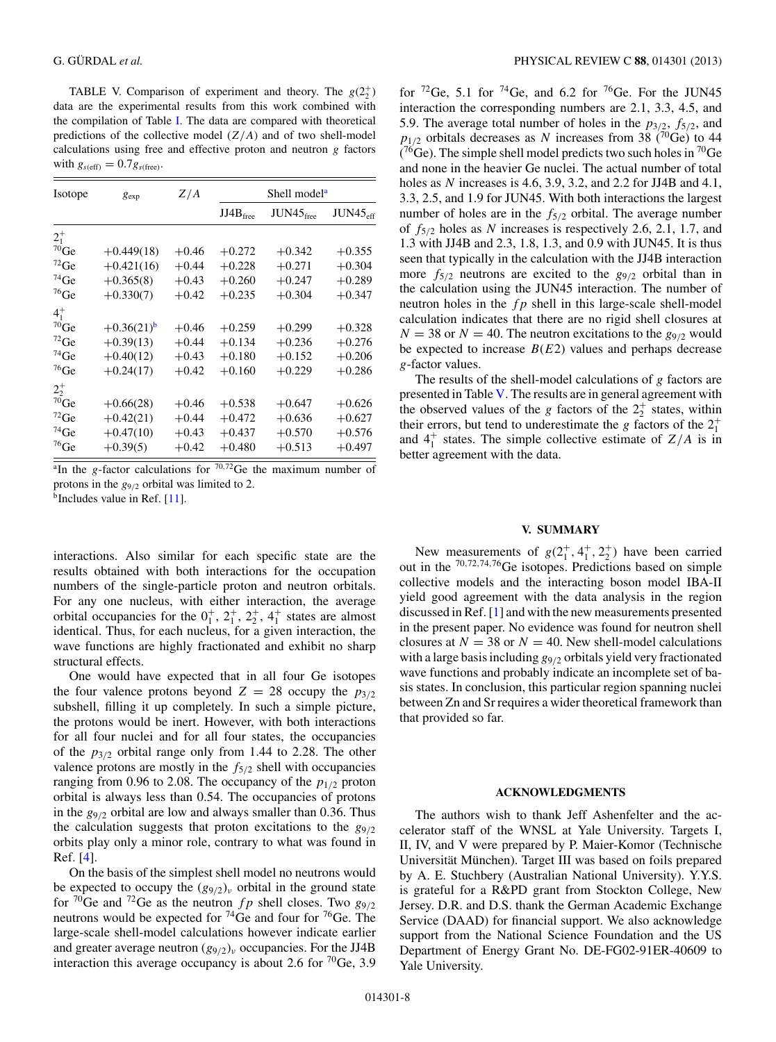TABLE V. Comparison of experiment and theory. The  $g(2^+_2)$ data are the experimental results from this work combined with the compilation of Table [I.](#page-1-0) The data are compared with theoretical predictions of the collective model  $(Z/A)$  and of two shell-model calculations using free and effective proton and neutron  $g$  factors with  $g_{s(\text{eff})} = 0.7g_{s(\text{free})}$ .

| Isotope            | $g_{\exp}$               | Z/A     | Shell model <sup>a</sup> |                       |                      |  |
|--------------------|--------------------------|---------|--------------------------|-----------------------|----------------------|--|
|                    |                          |         | JJ4B <sub>free</sub>     | $JUN45_{\text{free}}$ | JUN45 <sub>eff</sub> |  |
| $2^{+}_{1}$        |                          |         |                          |                       |                      |  |
| $70$ Ge            | $+0.449(18)$             | $+0.46$ | $+0.272$                 | $+0.342$              | $+0.355$             |  |
| $72$ Ge            | $+0.421(16)$             | $+0.44$ | $+0.228$                 | $+0.271$              | $+0.304$             |  |
| $74$ Ge            | $+0.365(8)$              | $+0.43$ | $+0.260$                 | $+0.247$              | $+0.289$             |  |
| ${}^{76}Ge$        | $+0.330(7)$              | $+0.42$ | $+0.235$                 | $+0.304$              | $+0.347$             |  |
| $4^{+}_{1}$        |                          |         |                          |                       |                      |  |
| $^{70}\mathrm{Ge}$ | $+0.36(21)$ <sup>b</sup> | $+0.46$ | $+0.259$                 | $+0.299$              | $+0.328$             |  |
| $^{72}$ Ge         | $+0.39(13)$              | $+0.44$ | $+0.134$                 | $+0.236$              | $+0.276$             |  |
| $^{74}$ Ge         | $+0.40(12)$              | $+0.43$ | $+0.180$                 | $+0.152$              | $+0.206$             |  |
| $^{76}$ Ge         | $+0.24(17)$              | $+0.42$ | $+0.160$                 | $+0.229$              | $+0.286$             |  |
| $2^{+}_{2}$        |                          |         |                          |                       |                      |  |
| $^{70}\mathrm{Ge}$ | $+0.66(28)$              | $+0.46$ | $+0.538$                 | $+0.647$              | $+0.626$             |  |
| $72$ Ge            | $+0.42(21)$              | $+0.44$ | $+0.472$                 | $+0.636$              | $+0.627$             |  |
| $74$ Ge            | $+0.47(10)$              | $+0.43$ | $+0.437$                 | $+0.570$              | $+0.576$             |  |
| ${}^{76}Ge$        | $+0.39(5)$               | $+0.42$ | $+0.480$                 | $+0.513$              | $+0.497$             |  |

<sup>a</sup>In the g-factor calculations for  $70,72$ Ge the maximum number of protons in the  $g_{9/2}$  orbital was limited to 2.

 $<sup>b</sup>$  Includes value in Ref. [\[11\]](#page-8-0).</sup>

interactions. Also similar for each specific state are the results obtained with both interactions for the occupation numbers of the single-particle proton and neutron orbitals. For any one nucleus, with either interaction, the average orbital occupancies for the  $0^+_1$ ,  $2^+_1$ ,  $2^+_2$ ,  $4^+_1$  states are almost identical. Thus, for each nucleus, for a given interaction, the wave functions are highly fractionated and exhibit no sharp structural effects.

One would have expected that in all four Ge isotopes the four valence protons beyond  $Z = 28$  occupy the  $p_{3/2}$ subshell, filling it up completely. In such a simple picture, the protons would be inert. However, with both interactions for all four nuclei and for all four states, the occupancies of the  $p_{3/2}$  orbital range only from 1.44 to 2.28. The other valence protons are mostly in the  $f_{5/2}$  shell with occupancies ranging from 0.96 to 2.08. The occupancy of the  $p_{1/2}$  proton orbital is always less than 0.54. The occupancies of protons in the  $g_{9/2}$  orbital are low and always smaller than 0.36. Thus the calculation suggests that proton excitations to the  $g_{9/2}$ orbits play only a minor role, contrary to what was found in Ref. [\[4\]](#page-8-0).

On the basis of the simplest shell model no neutrons would be expected to occupy the  $(g_{9/2})$ <sub>v</sub> orbital in the ground state for  $\frac{70}{9}$ Ge and  $\frac{72}{9}$ Ge as the neutron fp shell closes. Two  $g_{9/2}$ neutrons would be expected for  $^{74}$ Ge and four for  $^{76}$ Ge. The large-scale shell-model calculations however indicate earlier and greater average neutron  $(g_{9/2})$ <sub>ν</sub> occupancies. For the JJ4B interaction this average occupancy is about 2.6 for  $^{70}$ Ge, 3.9

for  ${}^{72}$ Ge, 5.1 for  ${}^{74}$ Ge, and 6.2 for  ${}^{76}$ Ge. For the JUN45 interaction the corresponding numbers are 2.1, 3.3, 4.5, and 5.9. The average total number of holes in the  $p_{3/2}$ ,  $f_{5/2}$ , and  $p_{1/2}$  orbitals decreases as N increases from 38 (70Ge) to 44  $(76$ Ge). The simple shell model predicts two such holes in  $70$ Ge and none in the heavier Ge nuclei. The actual number of total holes as N increases is 4.6, 3.9, 3.2, and 2.2 for JJ4B and 4.1, 3.3, 2.5, and 1.9 for JUN45. With both interactions the largest number of holes are in the  $f_{5/2}$  orbital. The average number of  $f_{5/2}$  holes as N increases is respectively 2.6, 2.1, 1.7, and 1.3 with JJ4B and 2.3, 1.8, 1.3, and 0.9 with JUN45. It is thus seen that typically in the calculation with the JJ4B interaction more  $f_{\frac{5}{2}}$  neutrons are excited to the  $g_{\frac{9}{2}}$  orbital than in the calculation using the JUN45 interaction. The number of neutron holes in the  $fp$  shell in this large-scale shell-model calculation indicates that there are no rigid shell closures at  $N = 38$  or  $N = 40$ . The neutron excitations to the  $g_{9/2}$  would be expected to increase  $B(E2)$  values and perhaps decrease g-factor values.

The results of the shell-model calculations of g factors are presented in Table V. The results are in general agreement with the observed values of the g factors of the  $2^+_2$  states, within their errors, but tend to underestimate the g factors of the  $2^+_1$ and  $4^{\dagger}_{1}$  states. The simple collective estimate of  $Z/A$  is in better agreement with the data.

### **V. SUMMARY**

New measurements of  $g(2_1^+, 4_1^+, 2_2^+)$  have been carried out in the <sup>70</sup>,72,74,76Ge isotopes. Predictions based on simple collective models and the interacting boson model IBA-II yield good agreement with the data analysis in the region discussed in Ref. [\[1\]](#page-8-0) and with the new measurements presented in the present paper. No evidence was found for neutron shell closures at  $N = 38$  or  $N = 40$ . New shell-model calculations with a large basis including  $g_{9/2}$  orbitals yield very fractionated wave functions and probably indicate an incomplete set of basis states. In conclusion, this particular region spanning nuclei between Zn and Sr requires a wider theoretical framework than that provided so far.

#### **ACKNOWLEDGMENTS**

The authors wish to thank Jeff Ashenfelter and the accelerator staff of the WNSL at Yale University. Targets I, II, IV, and V were prepared by P. Maier-Komor (Technische Universität München). Target III was based on foils prepared by A. E. Stuchbery (Australian National University). Y.Y.S. is grateful for a R&PD grant from Stockton College, New Jersey. D.R. and D.S. thank the German Academic Exchange Service (DAAD) for financial support. We also acknowledge support from the National Science Foundation and the US Department of Energy Grant No. DE-FG02-91ER-40609 to Yale University.